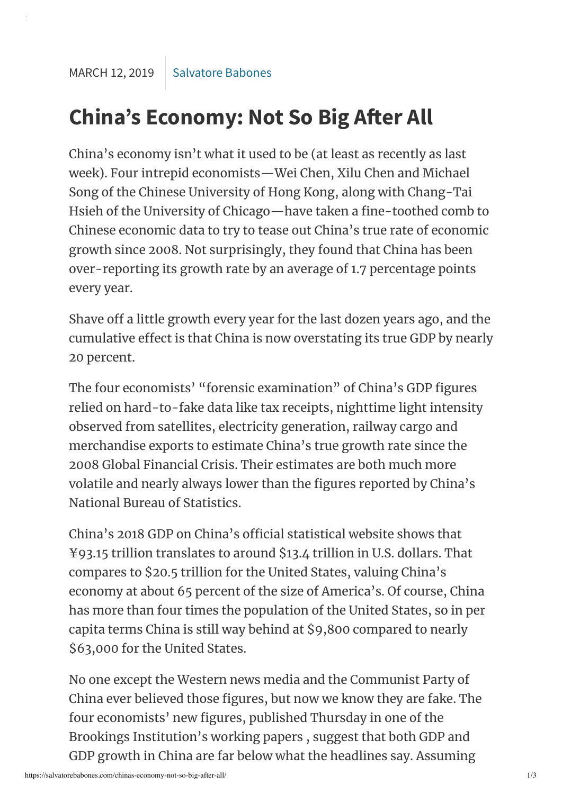## **China's Economy: Not So Big After All**

China's economy isn't what it used to be (at least as recently as last week). Four intrepid economists—Wei Chen, Xilu Chen and Michael Song of the Chinese University of Hong Kong, along with Chang-Tai Hsieh of the University of Chicago—have taken a fine-toothed comb to Chinese economic data to try to tease out China's true rate of economic growth since 2008. Not surprisingly, they found that China has been over-reporting its growth rate by an average of 1.7 percentage points every year.

Shave off a little growth every year for the last dozen years ago, and the cumulative effect is that China is now overstating its true GDP by nearly 20 percent.

The four economists' "forensic examination" of China's GDP figures relied on hard-to-fake data like tax receipts, nighttime light intensity observed from satellites, electricity generation, railway cargo and merchandise exports to estimate China's true growth rate since the 2008 Global Financial Crisis. Their estimates are both much more volatile and nearly always lower than the figures reported by China's National Bureau of Statistics.

China's 2018 GDP on China's official statistical website shows that ¥93.15 trillion translates to around \$13.4 trillion in U.S. dollars. That compares to \$20.5 trillion for the United States, valuing China's economy at about 65 percent of the size of America's. Of course, China has more than four times the population of the United States, so in per capita terms China is still way behind at \$9,800 compared to nearly \$63,000 for the United States.

No one except the Western news media and the Communist Party of China ever believed those figures, but now we know they are fake. The four economists' new figures, published Thursday in one of the Brookings Institution's working papers, suggest that both GDP and GDP growth in China are far below what the headlines say. Assuming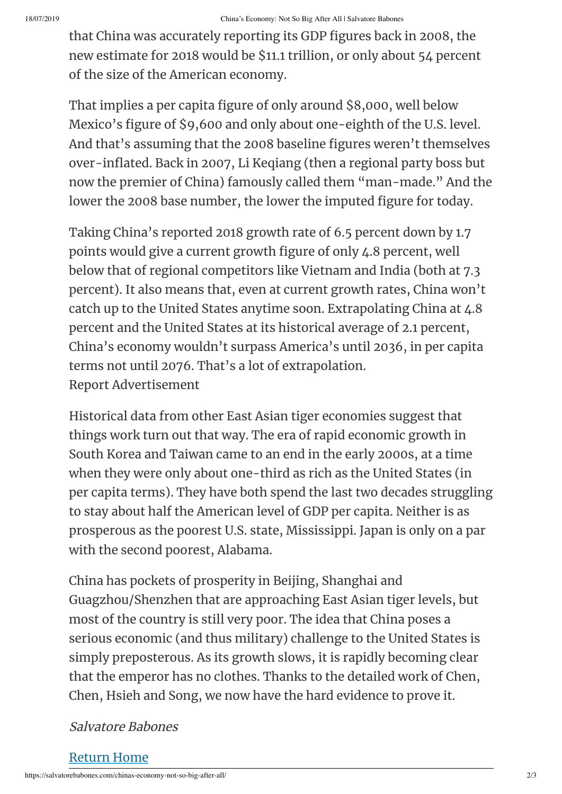that China was accurately reporting its GDP figures back in 2008, the new estimate for 2018 would be \$11.1 trillion, or only about 54 percent of the size of the American economy.

That implies a per capita figure of only around \$8,000, well below Mexico's figure of \$9,600 and only about one-eighth of the U.S. level. And that's assuming that the 2008 baseline figures weren't themselves over-inflated. Back in 2007, Li Keqiang (then a regional party boss but now the premier of China) famously called them "man-made." And the lower the 2008 base number, the lower the imputed figure for today.

Taking China's reported 2018 growth rate of 6.5 percent down by 1.7 points would give a current growth figure of only 4.8 percent, well below that of regional competitors like Vietnam and India (both at 7.3 percent). It also means that, even at current growth rates, China won't catch up to the United States anytime soon. Extrapolating China at 4.8 percent and the United States at its historical average of 2.1 percent, China's economy wouldn't surpass America's until 2036, in per capita terms not until 2076. That's a lot of extrapolation. Report Advertisement

Historical data from other East Asian tiger economies suggest that things work turn out that way. The era of rapid economic growth in South Korea and Taiwan came to an end in the early 2000s, at a time when they were only about one-third as rich as the United States (in per capita terms). They have both spend the last two decades struggling to stay about half the American level of GDP per capita. Neither is as prosperous as the poorest U.S. state, Mississippi. Japan is only on a par with the second poorest, Alabama.

China has pockets of prosperity in Beijing, Shanghai and Guagzhou/Shenzhen that are approaching East Asian tiger levels, but most of the country is still very poor. The idea that China poses a serious economic (and thus military) challenge to the United States is simply preposterous. As its growth slows, it is rapidly becoming clear that the emperor has no clothes. Thanks to the detailed work of Chen, Chen, Hsieh and Song, we now have the hard evidence to prove it.

## Salvatore Babones

## Return Home